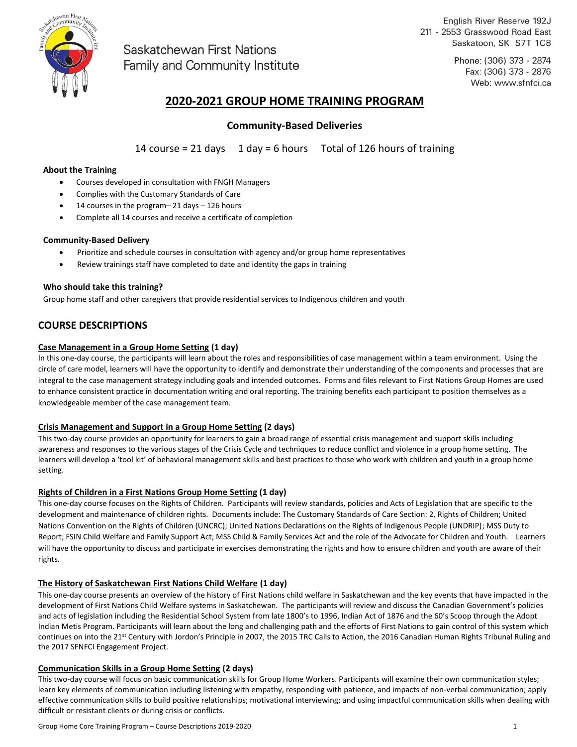

Saskatchewan First Nations Family and Community Institute

English River Reserve 192J 211 - 2553 Grasswood Road East Saskatoon, SK S7T 1C8

> Phone: (306) 373 - 2874 Fax: (306) 373 - 2876 Web: www.sfnfci.ca

# **2020-2021 GROUP HOME TRAINING PROGRAM**

## **Community-Based Deliveries**

14 course = 21 days  $1$  day = 6 hours Total of 126 hours of training

## **About the Training**

- Courses developed in consultation with FNGH Managers
- Complies with the Customary Standards of Care
- 14 courses in the program– 21 days 126 hours
- Complete all 14 courses and receive a certificate of completion

## **Community-Based Delivery**

- Prioritize and schedule courses in consultation with agency and/or group home representatives
- Review trainings staff have completed to date and identity the gaps in training

## **Who should take this training?**

Group home staff and other caregivers that provide residential services to Indigenous children and youth

## **COURSE DESCRIPTIONS**

## **Case Management in a Group Home Setting (1 day)**

In this one-day course, the participants will learn about the roles and responsibilities of case management within a team environment. Using the circle of care model, learners will have the opportunity to identify and demonstrate their understanding of the components and processes that are integral to the case management strategy including goals and intended outcomes. Forms and files relevant to First Nations Group Homes are used to enhance consistent practice in documentation writing and oral reporting. The training benefits each participant to position themselves as a knowledgeable member of the case management team.

#### **Crisis Management and Support in a Group Home Setting (2 days)**

This two-day course provides an opportunity for learners to gain a broad range of essential crisis management and support skills including awareness and responses to the various stages of the Crisis Cycle and techniques to reduce conflict and violence in a group home setting. The learners will develop a 'tool kit' of behavioral management skills and best practices to those who work with children and youth in a group home setting.

## **Rights of Children in a First Nations Group Home Setting (1 day)**

This one-day course focuses on the Rights of Children. Participants will review standards, policies and Acts of Legislation that are specific to the development and maintenance of children rights. Documents include: The Customary Standards of Care Section: 2, Rights of Children; United Nations Convention on the Rights of Children (UNCRC); United Nations Declarations on the Rights of Indigenous People (UNDRIP); MSS Duty to Report; FSIN Child Welfare and Family Support Act; MSS Child & Family Services Act and the role of the Advocate for Children and Youth. Learners will have the opportunity to discuss and participate in exercises demonstrating the rights and how to ensure children and youth are aware of their rights.

## **The History of Saskatchewan First Nations Child Welfare (1 day)**

This one-day course presents an overview of the history of First Nations child welfare in Saskatchewan and the key events that have impacted in the development of First Nations Child Welfare systems in Saskatchewan. The participants will review and discuss the Canadian Government's policies and acts of legislation including the Residential School System from late 1800's to 1996, Indian Act of 1876 and the 60's Scoop through the Adopt Indian Metis Program. Participants will learn about the long and challenging path and the efforts of First Nations to gain control of this system which continues on into the 21<sup>st</sup> Century with Jordon's Principle in 2007, the 2015 TRC Calls to Action, the 2016 Canadian Human Rights Tribunal Ruling and the 2017 SFNFCI Engagement Project.

#### **Communication Skills in a Group Home Setting (2 days)**

This two-day course will focus on basic communication skills for Group Home Workers. Participants will examine their own communication styles; learn key elements of communication including listening with empathy, responding with patience, and impacts of non-verbal communication; apply effective communication skills to build positive relationships; motivational interviewing; and using impactful communication skills when dealing with difficult or resistant clients or during crisis or conflicts.